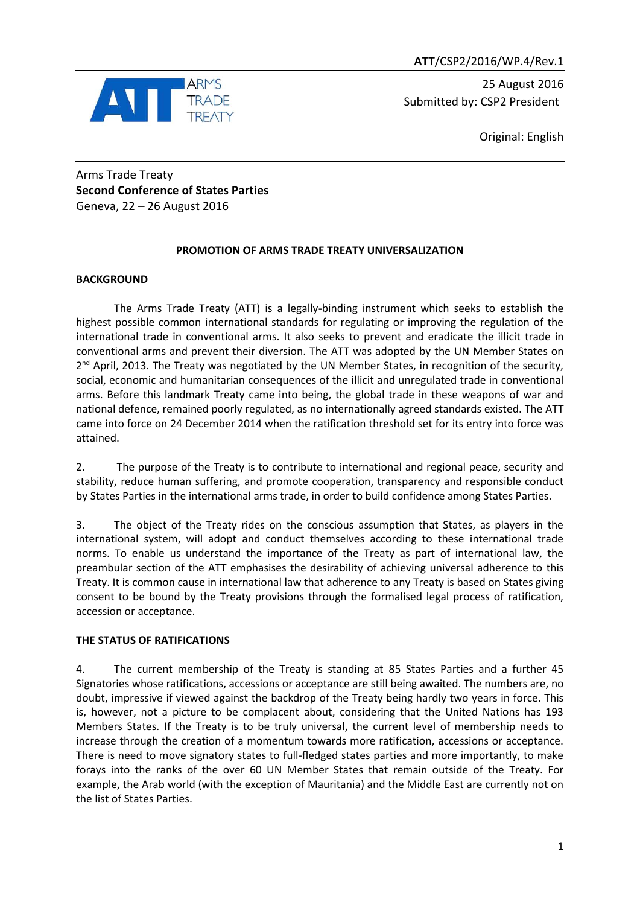

25 August 2016 Submitted by: CSP2 President

Original: English

Arms Trade Treaty **Second Conference of States Parties** Geneva, 22 – 26 August 2016

# **PROMOTION OF ARMS TRADE TREATY UNIVERSALIZATION**

## **BACKGROUND**

The Arms Trade Treaty (ATT) is a legally-binding instrument which seeks to establish the highest possible common international standards for regulating or improving the regulation of the international trade in conventional arms. It also seeks to prevent and eradicate the illicit trade in conventional arms and prevent their diversion. The ATT was adopted by the UN Member States on 2<sup>nd</sup> April, 2013. The Treaty was negotiated by the UN Member States, in recognition of the security, social, economic and humanitarian consequences of the illicit and unregulated trade in conventional arms. Before this landmark Treaty came into being, the global trade in these weapons of war and national defence, remained poorly regulated, as no internationally agreed standards existed. The ATT came into force on 24 December 2014 when the ratification threshold set for its entry into force was attained.

2. The purpose of the Treaty is to contribute to international and regional peace, security and stability, reduce human suffering, and promote cooperation, transparency and responsible conduct by States Parties in the international arms trade, in order to build confidence among States Parties.

3. The object of the Treaty rides on the conscious assumption that States, as players in the international system, will adopt and conduct themselves according to these international trade norms. To enable us understand the importance of the Treaty as part of international law, the preambular section of the ATT emphasises the desirability of achieving universal adherence to this Treaty. It is common cause in international law that adherence to any Treaty is based on States giving consent to be bound by the Treaty provisions through the formalised legal process of ratification, accession or acceptance.

# **THE STATUS OF RATIFICATIONS**

4. The current membership of the Treaty is standing at 85 States Parties and a further 45 Signatories whose ratifications, accessions or acceptance are still being awaited. The numbers are, no doubt, impressive if viewed against the backdrop of the Treaty being hardly two years in force. This is, however, not a picture to be complacent about, considering that the United Nations has 193 Members States. If the Treaty is to be truly universal, the current level of membership needs to increase through the creation of a momentum towards more ratification, accessions or acceptance. There is need to move signatory states to full-fledged states parties and more importantly, to make forays into the ranks of the over 60 UN Member States that remain outside of the Treaty. For example, the Arab world (with the exception of Mauritania) and the Middle East are currently not on the list of States Parties.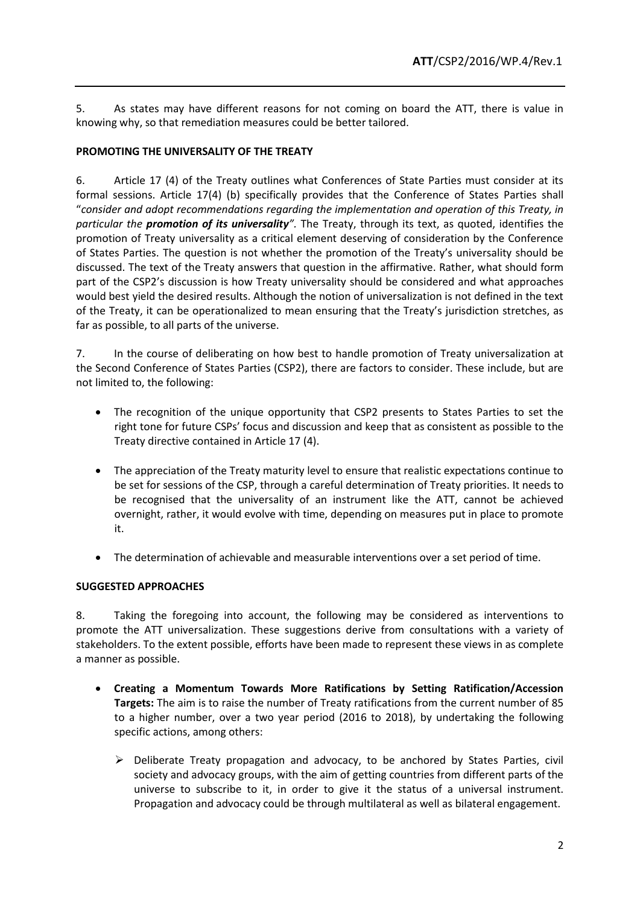5. As states may have different reasons for not coming on board the ATT, there is value in knowing why, so that remediation measures could be better tailored.

## **PROMOTING THE UNIVERSALITY OF THE TREATY**

6. Article 17 (4) of the Treaty outlines what Conferences of State Parties must consider at its formal sessions. Article 17(4) (b) specifically provides that the Conference of States Parties shall "*consider and adopt recommendations regarding the implementation and operation of this Treaty, in particular the promotion of its universality".* The Treaty, through its text, as quoted, identifies the promotion of Treaty universality as a critical element deserving of consideration by the Conference of States Parties. The question is not whether the promotion of the Treaty's universality should be discussed. The text of the Treaty answers that question in the affirmative. Rather, what should form part of the CSP2's discussion is how Treaty universality should be considered and what approaches would best yield the desired results. Although the notion of universalization is not defined in the text of the Treaty, it can be operationalized to mean ensuring that the Treaty's jurisdiction stretches, as far as possible, to all parts of the universe.

7. In the course of deliberating on how best to handle promotion of Treaty universalization at the Second Conference of States Parties (CSP2), there are factors to consider. These include, but are not limited to, the following:

- The recognition of the unique opportunity that CSP2 presents to States Parties to set the right tone for future CSPs' focus and discussion and keep that as consistent as possible to the Treaty directive contained in Article 17 (4).
- The appreciation of the Treaty maturity level to ensure that realistic expectations continue to be set for sessions of the CSP, through a careful determination of Treaty priorities. It needs to be recognised that the universality of an instrument like the ATT, cannot be achieved overnight, rather, it would evolve with time, depending on measures put in place to promote it.
- The determination of achievable and measurable interventions over a set period of time.

## **SUGGESTED APPROACHES**

8. Taking the foregoing into account, the following may be considered as interventions to promote the ATT universalization. These suggestions derive from consultations with a variety of stakeholders. To the extent possible, efforts have been made to represent these views in as complete a manner as possible.

- **Creating a Momentum Towards More Ratifications by Setting Ratification/Accession Targets:** The aim is to raise the number of Treaty ratifications from the current number of 85 to a higher number, over a two year period (2016 to 2018), by undertaking the following specific actions, among others:
	- $\triangleright$  Deliberate Treaty propagation and advocacy, to be anchored by States Parties, civil society and advocacy groups, with the aim of getting countries from different parts of the universe to subscribe to it, in order to give it the status of a universal instrument. Propagation and advocacy could be through multilateral as well as bilateral engagement.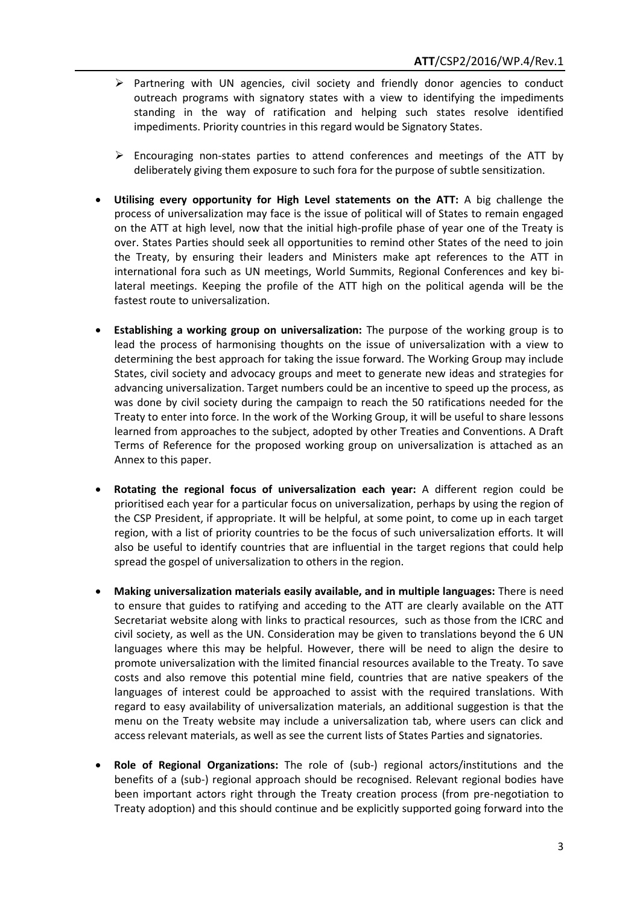- $\triangleright$  Partnering with UN agencies, civil society and friendly donor agencies to conduct outreach programs with signatory states with a view to identifying the impediments standing in the way of ratification and helping such states resolve identified impediments. Priority countries in this regard would be Signatory States.
- $\triangleright$  Encouraging non-states parties to attend conferences and meetings of the ATT by deliberately giving them exposure to such fora for the purpose of subtle sensitization.
- **Utilising every opportunity for High Level statements on the ATT:** A big challenge the process of universalization may face is the issue of political will of States to remain engaged on the ATT at high level, now that the initial high-profile phase of year one of the Treaty is over. States Parties should seek all opportunities to remind other States of the need to join the Treaty, by ensuring their leaders and Ministers make apt references to the ATT in international fora such as UN meetings, World Summits, Regional Conferences and key bilateral meetings. Keeping the profile of the ATT high on the political agenda will be the fastest route to universalization.
- **Establishing a working group on universalization:** The purpose of the working group is to lead the process of harmonising thoughts on the issue of universalization with a view to determining the best approach for taking the issue forward. The Working Group may include States, civil society and advocacy groups and meet to generate new ideas and strategies for advancing universalization. Target numbers could be an incentive to speed up the process, as was done by civil society during the campaign to reach the 50 ratifications needed for the Treaty to enter into force. In the work of the Working Group, it will be useful to share lessons learned from approaches to the subject, adopted by other Treaties and Conventions. A Draft Terms of Reference for the proposed working group on universalization is attached as an Annex to this paper.
- **Rotating the regional focus of universalization each year:** A different region could be prioritised each year for a particular focus on universalization, perhaps by using the region of the CSP President, if appropriate. It will be helpful, at some point, to come up in each target region, with a list of priority countries to be the focus of such universalization efforts. It will also be useful to identify countries that are influential in the target regions that could help spread the gospel of universalization to others in the region.
- **Making universalization materials easily available, and in multiple languages:** There is need to ensure that guides to ratifying and acceding to the ATT are clearly available on the ATT Secretariat website along with links to practical resources, such as those from the ICRC and civil society, as well as the UN. Consideration may be given to translations beyond the 6 UN languages where this may be helpful. However, there will be need to align the desire to promote universalization with the limited financial resources available to the Treaty. To save costs and also remove this potential mine field, countries that are native speakers of the languages of interest could be approached to assist with the required translations. With regard to easy availability of universalization materials, an additional suggestion is that the menu on the Treaty website may include a universalization tab, where users can click and access relevant materials, as well as see the current lists of States Parties and signatories.
- **Role of Regional Organizations:** The role of (sub-) regional actors/institutions and the benefits of a (sub-) regional approach should be recognised. Relevant regional bodies have been important actors right through the Treaty creation process (from pre-negotiation to Treaty adoption) and this should continue and be explicitly supported going forward into the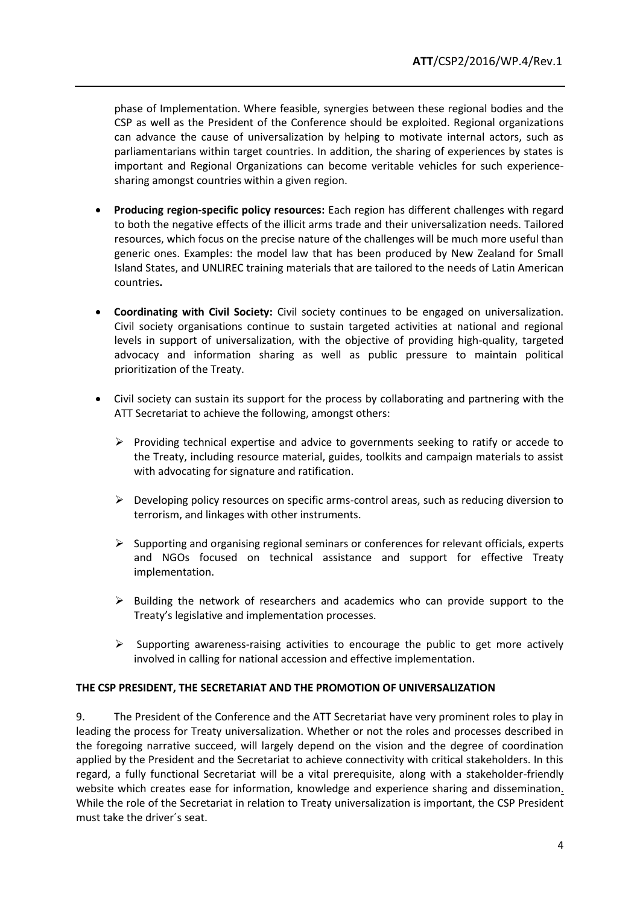phase of Implementation. Where feasible, synergies between these regional bodies and the CSP as well as the President of the Conference should be exploited. Regional organizations can advance the cause of universalization by helping to motivate internal actors, such as parliamentarians within target countries. In addition, the sharing of experiences by states is important and Regional Organizations can become veritable vehicles for such experiencesharing amongst countries within a given region.

- **Producing region-specific policy resources:** Each region has different challenges with regard to both the negative effects of the illicit arms trade and their universalization needs. Tailored resources, which focus on the precise nature of the challenges will be much more useful than generic ones. Examples: the model law that has been produced by New Zealand for Small Island States, and UNLIREC training materials that are tailored to the needs of Latin American countries**.**
- **Coordinating with Civil Society:** Civil society continues to be engaged on universalization. Civil society organisations continue to sustain targeted activities at national and regional levels in support of universalization, with the objective of providing high-quality, targeted advocacy and information sharing as well as public pressure to maintain political prioritization of the Treaty.
- Civil society can sustain its support for the process by collaborating and partnering with the ATT Secretariat to achieve the following, amongst others:
	- $\triangleright$  Providing technical expertise and advice to governments seeking to ratify or accede to the Treaty, including resource material, guides, toolkits and campaign materials to assist with advocating for signature and ratification.
	- $\triangleright$  Developing policy resources on specific arms-control areas, such as reducing diversion to terrorism, and linkages with other instruments.
	- $\triangleright$  Supporting and organising regional seminars or conferences for relevant officials, experts and NGOs focused on technical assistance and support for effective Treaty implementation.
	- $\triangleright$  Building the network of researchers and academics who can provide support to the Treaty's legislative and implementation processes.
	- $\triangleright$  Supporting awareness-raising activities to encourage the public to get more actively involved in calling for national accession and effective implementation.

### **THE CSP PRESIDENT, THE SECRETARIAT AND THE PROMOTION OF UNIVERSALIZATION**

9. The President of the Conference and the ATT Secretariat have very prominent roles to play in leading the process for Treaty universalization. Whether or not the roles and processes described in the foregoing narrative succeed, will largely depend on the vision and the degree of coordination applied by the President and the Secretariat to achieve connectivity with critical stakeholders. In this regard, a fully functional Secretariat will be a vital prerequisite, along with a stakeholder-friendly website which creates ease for information, knowledge and experience sharing and dissemination. While the role of the Secretariat in relation to Treaty universalization is important, the CSP President must take the driver´s seat.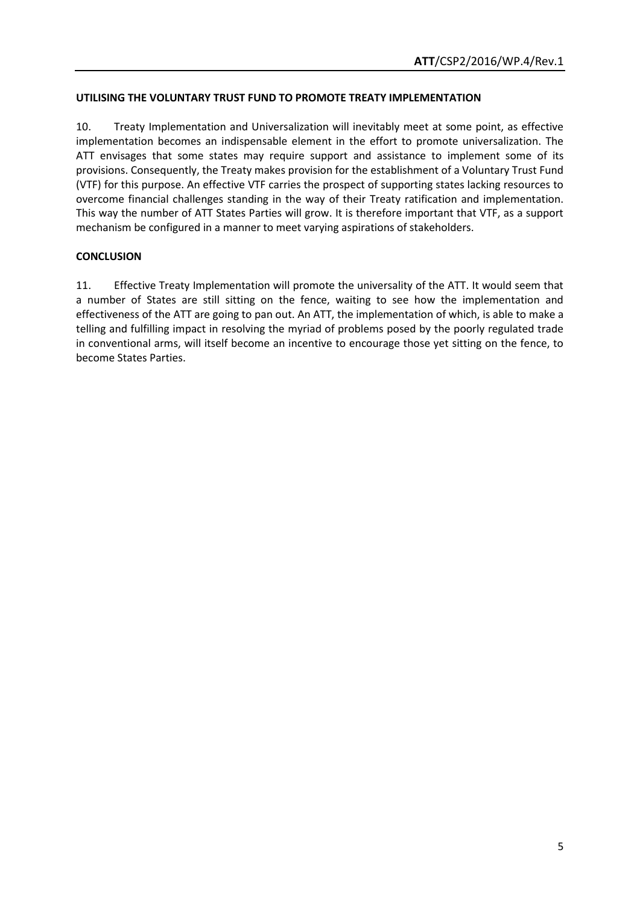## **UTILISING THE VOLUNTARY TRUST FUND TO PROMOTE TREATY IMPLEMENTATION**

10. Treaty Implementation and Universalization will inevitably meet at some point, as effective implementation becomes an indispensable element in the effort to promote universalization. The ATT envisages that some states may require support and assistance to implement some of its provisions. Consequently, the Treaty makes provision for the establishment of a Voluntary Trust Fund (VTF) for this purpose. An effective VTF carries the prospect of supporting states lacking resources to overcome financial challenges standing in the way of their Treaty ratification and implementation. This way the number of ATT States Parties will grow. It is therefore important that VTF, as a support mechanism be configured in a manner to meet varying aspirations of stakeholders.

## **CONCLUSION**

11. Effective Treaty Implementation will promote the universality of the ATT. It would seem that a number of States are still sitting on the fence, waiting to see how the implementation and effectiveness of the ATT are going to pan out. An ATT, the implementation of which, is able to make a telling and fulfilling impact in resolving the myriad of problems posed by the poorly regulated trade in conventional arms, will itself become an incentive to encourage those yet sitting on the fence, to become States Parties.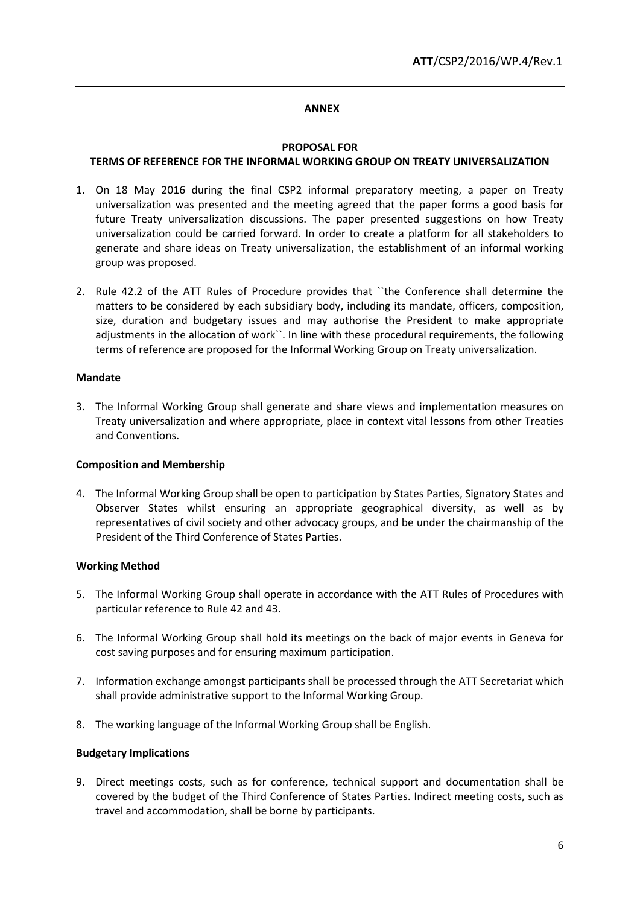#### **ANNEX**

#### **PROPOSAL FOR**

#### **TERMS OF REFERENCE FOR THE INFORMAL WORKING GROUP ON TREATY UNIVERSALIZATION**

- 1. On 18 May 2016 during the final CSP2 informal preparatory meeting, a paper on Treaty universalization was presented and the meeting agreed that the paper forms a good basis for future Treaty universalization discussions. The paper presented suggestions on how Treaty universalization could be carried forward. In order to create a platform for all stakeholders to generate and share ideas on Treaty universalization, the establishment of an informal working group was proposed.
- 2. Rule 42.2 of the ATT Rules of Procedure provides that ``the Conference shall determine the matters to be considered by each subsidiary body, including its mandate, officers, composition, size, duration and budgetary issues and may authorise the President to make appropriate adjustments in the allocation of work``. In line with these procedural requirements, the following terms of reference are proposed for the Informal Working Group on Treaty universalization.

#### **Mandate**

3. The Informal Working Group shall generate and share views and implementation measures on Treaty universalization and where appropriate, place in context vital lessons from other Treaties and Conventions.

### **Composition and Membership**

4. The Informal Working Group shall be open to participation by States Parties, Signatory States and Observer States whilst ensuring an appropriate geographical diversity, as well as by representatives of civil society and other advocacy groups, and be under the chairmanship of the President of the Third Conference of States Parties.

### **Working Method**

- 5. The Informal Working Group shall operate in accordance with the ATT Rules of Procedures with particular reference to Rule 42 and 43.
- 6. The Informal Working Group shall hold its meetings on the back of major events in Geneva for cost saving purposes and for ensuring maximum participation.
- 7. Information exchange amongst participants shall be processed through the ATT Secretariat which shall provide administrative support to the Informal Working Group.
- 8. The working language of the Informal Working Group shall be English.

#### **Budgetary Implications**

9. Direct meetings costs, such as for conference, technical support and documentation shall be covered by the budget of the Third Conference of States Parties. Indirect meeting costs, such as travel and accommodation, shall be borne by participants.